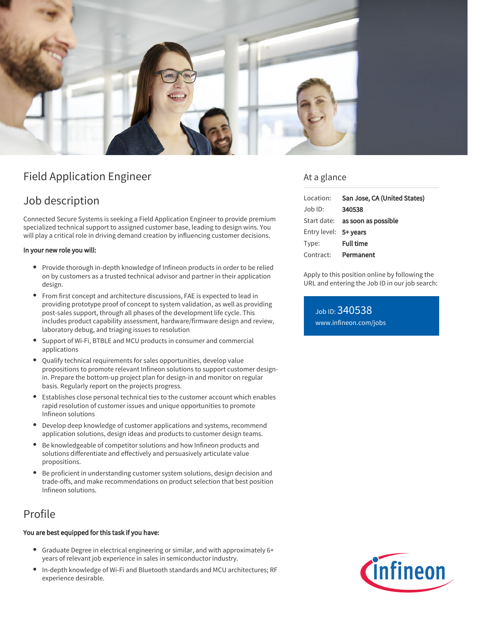

# Field Application Engineer

# Job description

Connected Secure Systems is seeking a Field Application Engineer to provide premium specialized technical support to assigned customer base, leading to design wins. You will play a critical role in driving demand creation by influencing customer decisions.

### In your new role you will:

- Provide thorough in-depth knowledge of Infineon products in order to be relied on by customers as a trusted technical advisor and partner in their application design.
- From first concept and architecture discussions, FAE is expected to lead in providing prototype proof of concept to system validation, as well as providing post-sales support, through all phases of the development life cycle. This includes product capability assessment, hardware/firmware design and review, laboratory debug, and triaging issues to resolution
- Support of Wi-Fi, BTBLE and MCU products in consumer and commercial applications
- Qualify technical requirements for sales opportunities, develop value propositions to promote relevant Infineon solutions to support customer designin. Prepare the bottom-up project plan for design-in and monitor on regular basis. Regularly report on the projects progress.
- Establishes close personal technical ties to the customer account which enables rapid resolution of customer issues and unique opportunities to promote Infineon solutions
- $\bullet$ Develop deep knowledge of customer applications and systems, recommend application solutions, design ideas and products to customer design teams.
- Be knowledgeable of competitor solutions and how Infineon products and solutions differentiate and effectively and persuasively articulate value propositions.
- Be proficient in understanding customer system solutions, design decision and trade-offs, and make recommendations on product selection that best position Infineon solutions.

## Profile

### You are best equipped for this task if you have:

- Graduate Degree in electrical engineering or similar, and with approximately 6+  $\bullet$ years of relevant job experience in sales in semiconductor industry.
- In-depth knowledge of Wi-Fi and Bluetooth standards and MCU architectures; RF experience desirable.

## At a glance

| Location:             | San Jose, CA (United States)    |
|-----------------------|---------------------------------|
| Job ID:               | 340538                          |
|                       | Start date: as soon as possible |
| Entry level: 5+ years |                                 |
| Type:                 | <b>Full time</b>                |
| Contract: Permanent   |                                 |

Apply to this position online by following the URL and entering the Job ID in our job search:

Job ID: 340538 [www.infineon.com/jobs](https://www.infineon.com/jobs)

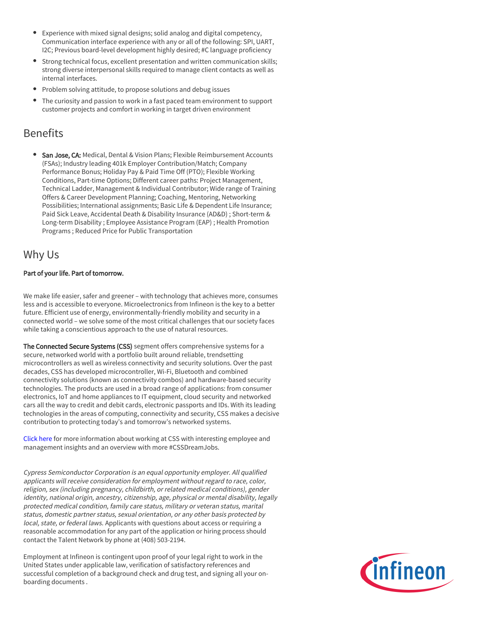- Experience with mixed signal designs; solid analog and digital competency, Communication interface experience with any or all of the following: SPI, UART, I2C; Previous board-level development highly desired; #C language proficiency
- Strong technical focus, excellent presentation and written communication skills; strong diverse interpersonal skills required to manage client contacts as well as internal interfaces.
- Problem solving attitude, to propose solutions and debug issues
- The curiosity and passion to work in a fast paced team environment to support customer projects and comfort in working in target driven environment

## Benefits

San Jose, CA: Medical, Dental & Vision Plans; Flexible Reimbursement Accounts (FSAs); Industry leading 401k Employer Contribution/Match; Company Performance Bonus; Holiday Pay & Paid Time Off (PTO); Flexible Working Conditions, Part-time Options; Different career paths: Project Management, Technical Ladder, Management & Individual Contributor; Wide range of Training Offers & Career Development Planning; Coaching, Mentoring, Networking Possibilities; International assignments; Basic Life & Dependent Life Insurance; Paid Sick Leave, Accidental Death & Disability Insurance (AD&D) ; Short-term & Long-term Disability ; Employee Assistance Program (EAP) ; Health Promotion Programs ; Reduced Price for Public Transportation

## Why Us

### Part of your life. Part of tomorrow.

We make life easier, safer and greener – with technology that achieves more, consumes less and is accessible to everyone. Microelectronics from Infineon is the key to a better future. Efficient use of energy, environmentally-friendly mobility and security in a connected world – we solve some of the most critical challenges that our society faces while taking a conscientious approach to the use of natural resources.

The Connected Secure Systems (CSS) segment offers comprehensive systems for a secure, networked world with a portfolio built around reliable, trendsetting microcontrollers as well as wireless connectivity and security solutions. Over the past decades, CSS has developed microcontroller, Wi-Fi, Bluetooth and combined connectivity solutions (known as connectivity combos) and hardware-based security technologies. The products are used in a broad range of applications: from consumer electronics, IoT and home appliances to IT equipment, cloud security and networked cars all the way to credit and debit cards, electronic passports and IDs. With its leading technologies in the areas of computing, connectivity and security, CSS makes a decisive contribution to protecting today's and tomorrow's networked systems.

[Click here](https://www.infineon.com/cms/en/careers/working-at-infineon/cssdreamjob/) for more information about working at CSS with interesting employee and management insights and an overview with more #CSSDreamJobs.

Cypress Semiconductor Corporation is an equal opportunity employer. All qualified applicants will receive consideration for employment without regard to race, color, religion, sex (including pregnancy, childbirth, or related medical conditions), gender identity, national origin, ancestry, citizenship, age, physical or mental disability, legally protected medical condition, family care status, military or veteran status, marital status, domestic partner status, sexual orientation, or any other basis protected by local, state, or federal laws. Applicants with questions about access or requiring a reasonable accommodation for any part of the application or hiring process should contact the Talent Network by phone at (408) 503-2194.

Employment at Infineon is contingent upon proof of your legal right to work in the United States under applicable law, verification of satisfactory references and successful completion of a background check and drug test, and signing all your onboarding documents .